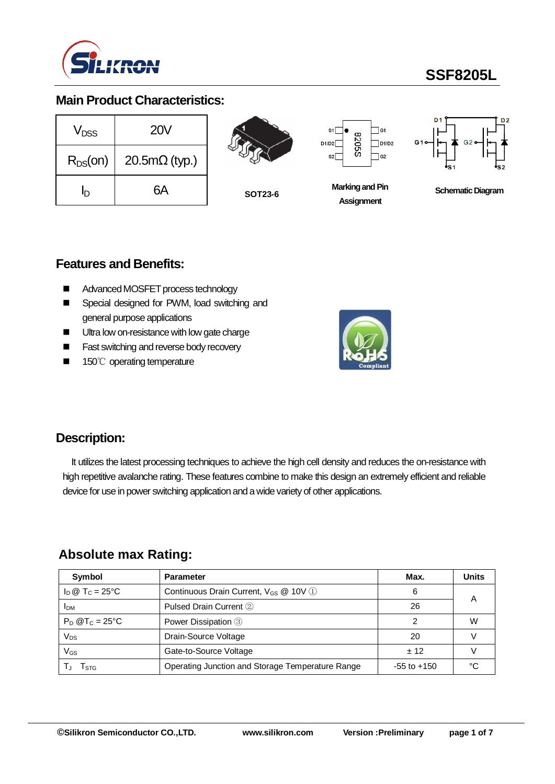

# **SSF8205L**

### **Main Product Characteristics:**

| V <sub>DSS</sub> | <b>20V</b>                   |  |  |  |
|------------------|------------------------------|--|--|--|
| $R_{DS}(on)$     | $20.5 \text{m}\Omega$ (typ.) |  |  |  |
| In               | 6А                           |  |  |  |



**SOT23-6**

 $\sqsupset$ G1 8205S  $\n <sup>1/D2</sup>\n$ D<sub>1</sub>ID2  $\sqsupset$  G2  $5<sup>2</sup>$ 



**Marking and Pin Assignment**



## **Features and Benefits:**

- Advanced MOSFET process technology
- Special designed for PWM, load switching and general purpose applications
- Ultra low on-resistance with low gate charge
- Fast switching and reverse body recovery
- 150℃ operating temperature



## **Description:**

It utilizes the latest processing techniques to achieve the high cell density and reduces the on-resistance with high repetitive avalanche rating. These features combine to make this design an extremely efficient and reliable device for use in power switching application and a wide variety of other applications.

## **Absolute max Rating:**

| Symbol                       | <b>Parameter</b>                                  |                 | <b>Units</b> |
|------------------------------|---------------------------------------------------|-----------------|--------------|
| $I_D @ T_C = 25^{\circ}C$    | Continuous Drain Current, V <sub>GS</sub> @ 10V 1 | 6               |              |
| <b>IDM</b>                   | Pulsed Drain Current 2                            | 26              | Α            |
| $P_D$ @T <sub>C</sub> = 25°C | Power Dissipation 3                               | っ               | W            |
| Vps                          | Drain-Source Voltage                              | 20              |              |
| Vgs                          | Gate-to-Source Voltage                            | ± 12            |              |
| l stg                        | Operating Junction and Storage Temperature Range  | $-55$ to $+150$ | ∘∩           |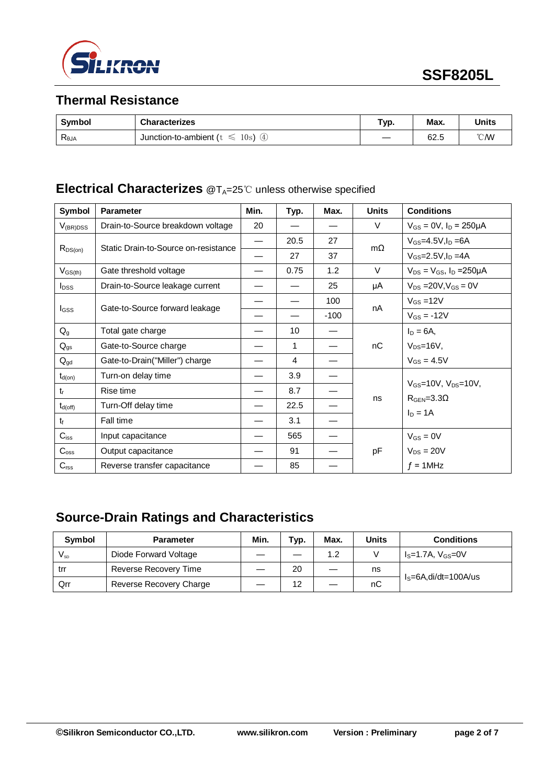

# **Thermal Resistance**

| <b>Symbol</b>  | <b>Characterizes</b>                | Typ. | Max. | <b>Units</b>   |
|----------------|-------------------------------------|------|------|----------------|
| $R_{\theta$ JA | ④<br>10s<br>Junction-to-ambient (t) |      | 62.5 | $^{\circ}$ CMV |

### **Electrical Characterizes** @T<sub>A</sub>=25℃ unless otherwise specified

| Symbol                  | <b>Parameter</b>                     | Min. | Typ. | Max.          | <b>Units</b> | <b>Conditions</b>                                               |
|-------------------------|--------------------------------------|------|------|---------------|--------------|-----------------------------------------------------------------|
| $V_{(BR)DSS}$           | Drain-to-Source breakdown voltage    | 20   |      |               | V            | $V_{GS} = 0V$ , $I_D = 250 \mu A$                               |
| $R_{DS(on)}$            | Static Drain-to-Source on-resistance | —    | 20.5 | 27            | $m\Omega$    | $V_{GS} = 4.5V, I_D = 6A$                                       |
|                         |                                      |      | 27   | 37            |              | $V_{GS} = 2.5V$ , $I_D = 4A$                                    |
| $V_{GS(th)}$            | Gate threshold voltage               |      | 0.75 | 1.2           | $\vee$       | $V_{DS} = V_{GS}$ , $I_D = 250 \mu A$                           |
| <b>I</b> <sub>DSS</sub> | Drain-to-Source leakage current      |      |      | 25            | μA           | $V_{DS}$ = 20V, $V_{GS}$ = 0V                                   |
|                         | Gate-to-Source forward leakage       | 100  | nA   | $V_{GS}$ =12V |              |                                                                 |
| <b>I</b> GSS            |                                      |      |      | $-100$        |              | $V_{GS} = -12V$                                                 |
| $Q_{q}$                 | Total gate charge                    |      | 10   |               | nC           | $I_D = 6A$<br>$V_{DS}=16V$ ,                                    |
| $Q_{gs}$                | Gate-to-Source charge                |      | 1    |               |              |                                                                 |
| $Q_{gd}$                | Gate-to-Drain("Miller") charge       |      | 4    |               |              | $V_{GS} = 4.5V$                                                 |
| $t_{d(on)}$             | Turn-on delay time                   |      | 3.9  |               |              | $V_{GS}$ =10V, $V_{DS}$ =10V,<br>$RGEN=3.3\Omega$<br>$I_D = 1A$ |
| $t_{r}$                 | Rise time                            |      | 8.7  |               |              |                                                                 |
| $t_{d(off)}$            | Turn-Off delay time                  |      | 22.5 |               | ns           |                                                                 |
| $t_{\rm f}$             | Fall time                            |      | 3.1  |               |              |                                                                 |
| $C_{iss}$               | Input capacitance                    |      | 565  |               |              | $V_{GS} = 0V$                                                   |
| $C_{\rm oss}$           | Output capacitance                   |      | 91   |               | pF           | $V_{DS} = 20V$<br>$f = 1$ MHz                                   |
| $C_{\text{rss}}$        | Reverse transfer capacitance         |      | 85   |               |              |                                                                 |

# **Source-Drain Ratings and Characteristics**

| <b>Symbol</b> | <b>Parameter</b>        | Min. | Typ. | Max. | <b>Units</b> | <b>Conditions</b>          |  |
|---------------|-------------------------|------|------|------|--------------|----------------------------|--|
| $V_{\rm SD}$  | Diode Forward Voltage   |      | —    | 1.2  |              | $IS=1.7A$ , $VGS=0V$       |  |
| trr           | Reverse Recovery Time   |      | 20   |      | ns           | $I_s = 6A$ , di/dt=100A/us |  |
| Qrr           | Reverse Recovery Charge |      | 12   |      | nC           |                            |  |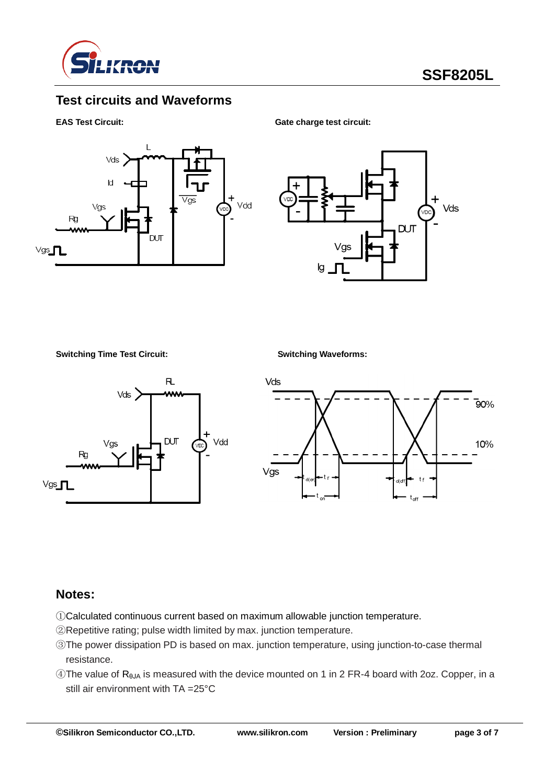

# **Test circuits and Waveforms**

#### **EAS Test Circuit:** Gate charge test circuit:





**Switching Time Test Circuit: Switching Waveforms:**





#### **Notes:**

- ①Calculated continuous current based on maximum allowable junction temperature.
- ②Repetitive rating; pulse width limited by max. junction temperature.
- ③The power dissipation PD is based on max. junction temperature, using junction-to-case thermal resistance.
- $\circledA$ The value of R<sub>θJA</sub> is measured with the device mounted on 1 in 2 FR-4 board with 2oz. Copper, in a still air environment with TA =25°C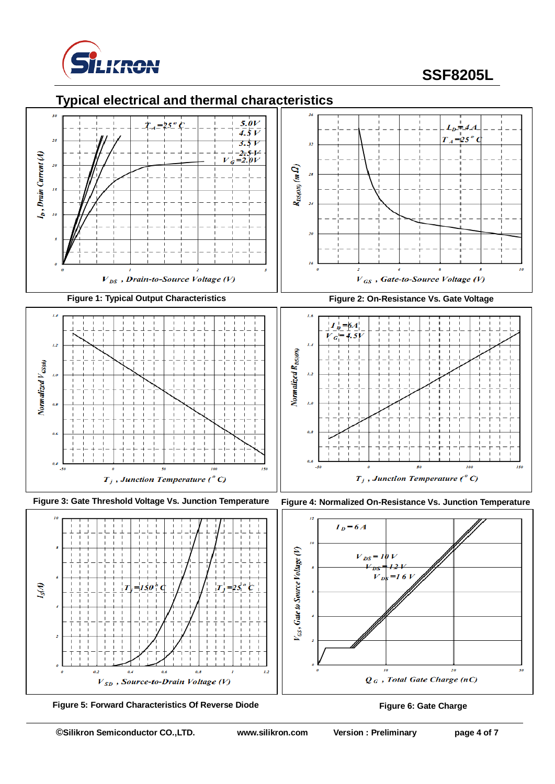

# **SSF8205L**





 **Figure 5: Forward Characteristics Of Reverse Diode Figure 6: Gate Charge**

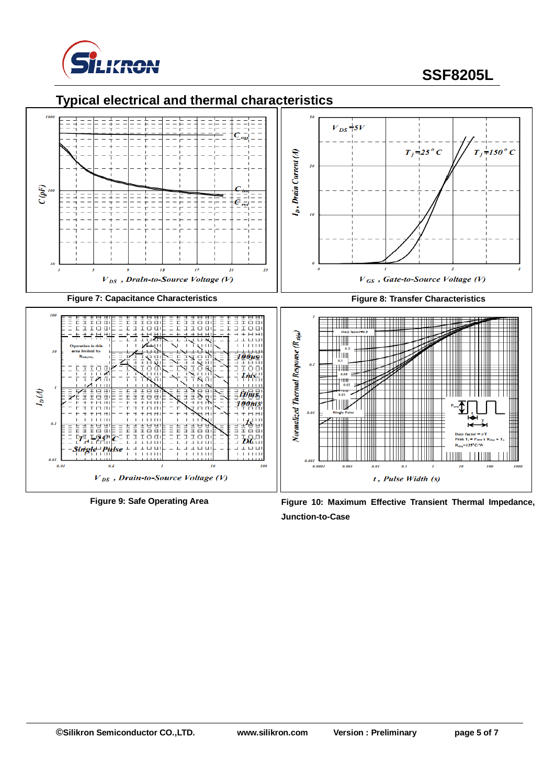

# **SSF8205L**

## **Typical electrical and thermal characteristics**



**Figure 9: Safe Operating Area Figure 10: Maximum Effective Transient Thermal Impedance, Junction-to-Case**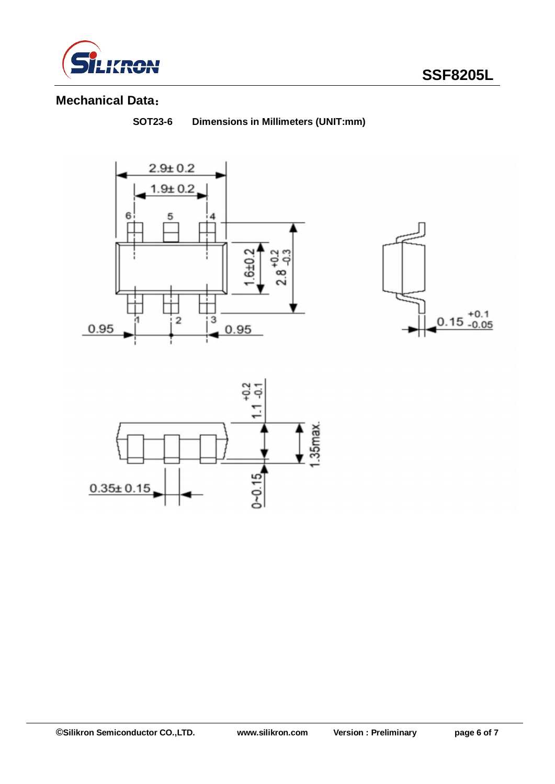

# **Mechanical Data**:

**SOT23-6 Dimensions in Millimeters (UNIT:mm)**